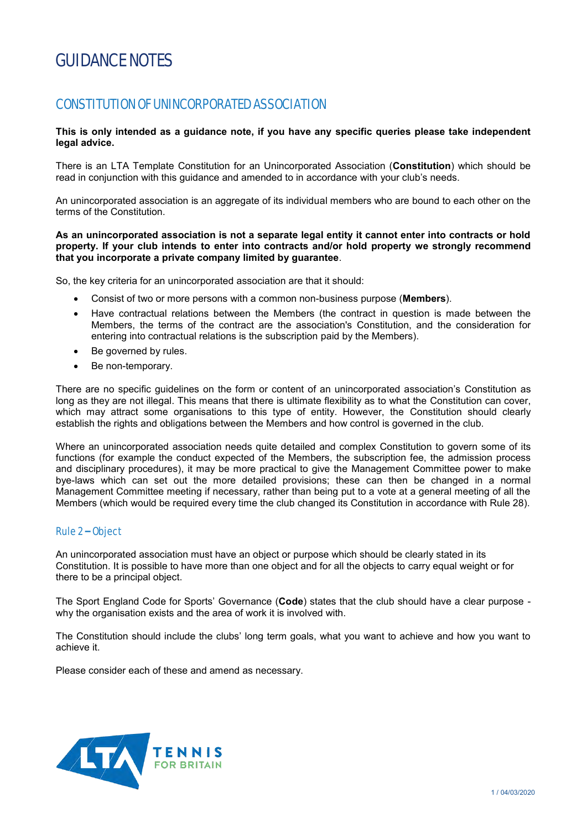# GUIDANCE NOTES

# CONSTITUTION OF UNINCORPORATED ASSOCIATION

#### **This is only intended as a guidance note, if you have any specific queries please take independent legal advice.**

There is an LTA Template Constitution for an Unincorporated Association (**Constitution**) which should be read in conjunction with this guidance and amended to in accordance with your club's needs.

An unincorporated association is an aggregate of its individual members who are bound to each other on the terms of the Constitution.

#### **As an unincorporated association is not a separate legal entity it cannot enter into contracts or hold property. If your club intends to enter into contracts and/or hold property we strongly recommend that you incorporate a private company limited by guarantee**.

So, the key criteria for an unincorporated association are that it should:

- Consist of two or more persons with a common non-business purpose (**Members**).
- Have contractual relations between the Members (the contract in question is made between the Members, the terms of the contract are the association's Constitution, and the consideration for entering into contractual relations is the subscription paid by the Members).
- Be governed by rules.
- Be non-temporary.

There are no specific guidelines on the form or content of an unincorporated association's Constitution as long as they are not illegal. This means that there is ultimate flexibility as to what the Constitution can cover, which may attract some organisations to this type of entity. However, the Constitution should clearly establish the rights and obligations between the Members and how control is governed in the club.

Where an unincorporated association needs quite detailed and complex Constitution to govern some of its functions (for example the conduct expected of the Members, the subscription fee, the admission process and disciplinary procedures), it may be more practical to give the Management Committee power to make bye-laws which can set out the more detailed provisions; these can then be changed in a normal Management Committee meeting if necessary, rather than being put to a vote at a general meeting of all the Members (which would be required every time the club changed its Constitution in accordance with Rule 28).

# Rule 2 – Object

An unincorporated association must have an object or purpose which should be clearly stated in its Constitution. It is possible to have more than one object and for all the objects to carry equal weight or for there to be a principal object.

The Sport England Code for Sports' Governance (**Code**) states that the club should have a clear purpose why the organisation exists and the area of work it is involved with.

The Constitution should include the clubs' long term goals, what you want to achieve and how you want to achieve it.

Please consider each of these and amend as necessary.

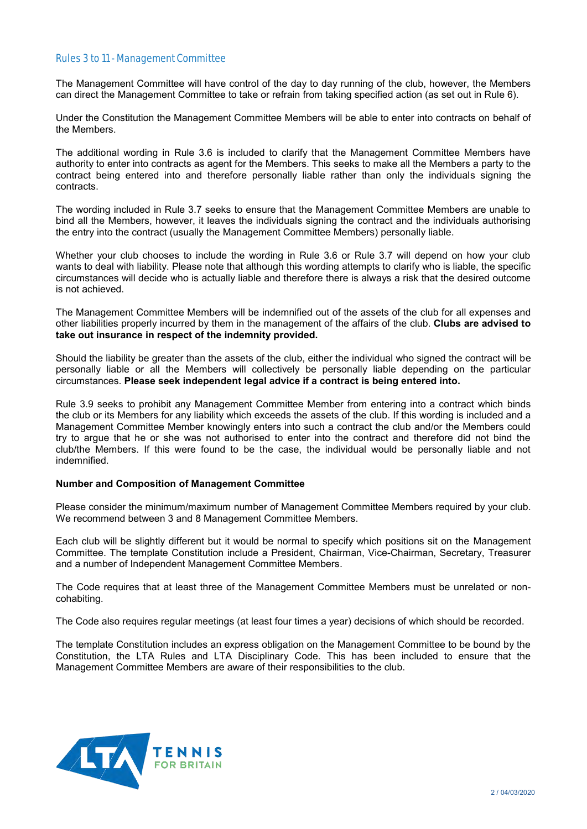#### Rules 3 to 11 - Management Committee

The Management Committee will have control of the day to day running of the club, however, the Members can direct the Management Committee to take or refrain from taking specified action (as set out in Rule 6).

Under the Constitution the Management Committee Members will be able to enter into contracts on behalf of the Members.

The additional wording in Rule 3.6 is included to clarify that the Management Committee Members have authority to enter into contracts as agent for the Members. This seeks to make all the Members a party to the contract being entered into and therefore personally liable rather than only the individuals signing the contracts.

The wording included in Rule 3.7 seeks to ensure that the Management Committee Members are unable to bind all the Members, however, it leaves the individuals signing the contract and the individuals authorising the entry into the contract (usually the Management Committee Members) personally liable.

Whether your club chooses to include the wording in Rule 3.6 or Rule 3.7 will depend on how your club wants to deal with liability. Please note that although this wording attempts to clarify who is liable, the specific circumstances will decide who is actually liable and therefore there is always a risk that the desired outcome is not achieved.

The Management Committee Members will be indemnified out of the assets of the club for all expenses and other liabilities properly incurred by them in the management of the affairs of the club. **Clubs are advised to take out insurance in respect of the indemnity provided.** 

Should the liability be greater than the assets of the club, either the individual who signed the contract will be personally liable or all the Members will collectively be personally liable depending on the particular circumstances. **Please seek independent legal advice if a contract is being entered into.**

Rule 3.9 seeks to prohibit any Management Committee Member from entering into a contract which binds the club or its Members for any liability which exceeds the assets of the club. If this wording is included and a Management Committee Member knowingly enters into such a contract the club and/or the Members could try to argue that he or she was not authorised to enter into the contract and therefore did not bind the club/the Members. If this were found to be the case, the individual would be personally liable and not indemnified.

#### **Number and Composition of Management Committee**

Please consider the minimum/maximum number of Management Committee Members required by your club. We recommend between 3 and 8 Management Committee Members.

Each club will be slightly different but it would be normal to specify which positions sit on the Management Committee. The template Constitution include a President, Chairman, Vice-Chairman, Secretary, Treasurer and a number of Independent Management Committee Members.

The Code requires that at least three of the Management Committee Members must be unrelated or noncohabiting.

The Code also requires regular meetings (at least four times a year) decisions of which should be recorded.

The template Constitution includes an express obligation on the Management Committee to be bound by the Constitution, the LTA Rules and LTA Disciplinary Code. This has been included to ensure that the Management Committee Members are aware of their responsibilities to the club.

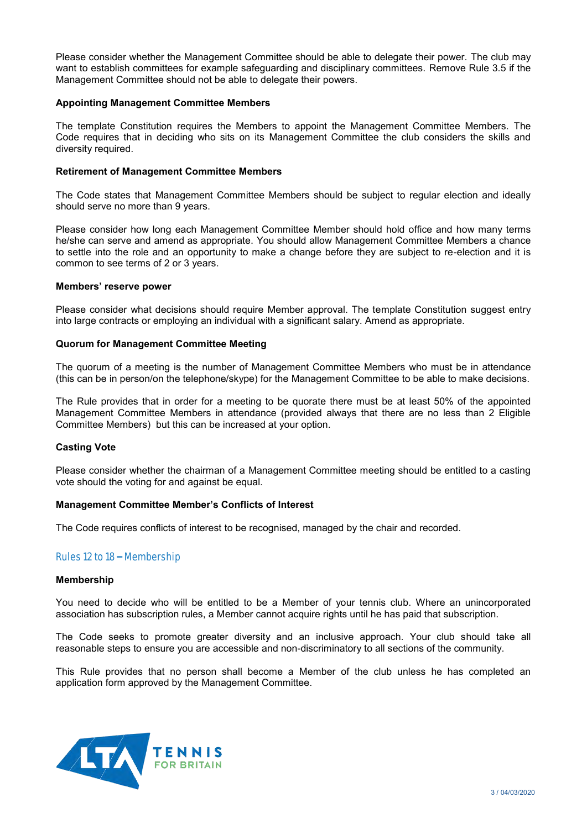Please consider whether the Management Committee should be able to delegate their power. The club may want to establish committees for example safeguarding and disciplinary committees. Remove Rule 3.5 if the Management Committee should not be able to delegate their powers.

#### **Appointing Management Committee Members**

The template Constitution requires the Members to appoint the Management Committee Members. The Code requires that in deciding who sits on its Management Committee the club considers the skills and diversity required.

#### **Retirement of Management Committee Members**

The Code states that Management Committee Members should be subject to regular election and ideally should serve no more than 9 years.

Please consider how long each Management Committee Member should hold office and how many terms he/she can serve and amend as appropriate. You should allow Management Committee Members a chance to settle into the role and an opportunity to make a change before they are subject to re-election and it is common to see terms of 2 or 3 years.

#### **Members' reserve power**

Please consider what decisions should require Member approval. The template Constitution suggest entry into large contracts or employing an individual with a significant salary. Amend as appropriate.

#### **Quorum for Management Committee Meeting**

The quorum of a meeting is the number of Management Committee Members who must be in attendance (this can be in person/on the telephone/skype) for the Management Committee to be able to make decisions.

The Rule provides that in order for a meeting to be quorate there must be at least 50% of the appointed Management Committee Members in attendance (provided always that there are no less than 2 Eligible Committee Members) but this can be increased at your option.

# **Casting Vote**

Please consider whether the chairman of a Management Committee meeting should be entitled to a casting vote should the voting for and against be equal.

#### **Management Committee Member's Conflicts of Interest**

The Code requires conflicts of interest to be recognised, managed by the chair and recorded.

# Rules 12 to 18 – Membership

#### **Membership**

You need to decide who will be entitled to be a Member of your tennis club. Where an unincorporated association has subscription rules, a Member cannot acquire rights until he has paid that subscription.

The Code seeks to promote greater diversity and an inclusive approach. Your club should take all reasonable steps to ensure you are accessible and non-discriminatory to all sections of the community.

This Rule provides that no person shall become a Member of the club unless he has completed an application form approved by the Management Committee.

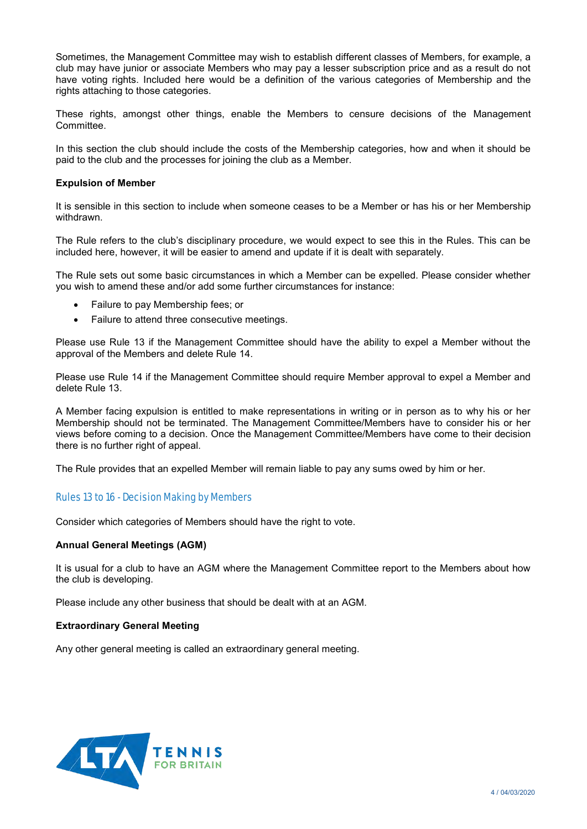Sometimes, the Management Committee may wish to establish different classes of Members, for example, a club may have junior or associate Members who may pay a lesser subscription price and as a result do not have voting rights. Included here would be a definition of the various categories of Membership and the rights attaching to those categories.

These rights, amongst other things, enable the Members to censure decisions of the Management Committee.

In this section the club should include the costs of the Membership categories, how and when it should be paid to the club and the processes for joining the club as a Member.

#### **Expulsion of Member**

It is sensible in this section to include when someone ceases to be a Member or has his or her Membership withdrawn.

The Rule refers to the club's disciplinary procedure, we would expect to see this in the Rules. This can be included here, however, it will be easier to amend and update if it is dealt with separately.

The Rule sets out some basic circumstances in which a Member can be expelled. Please consider whether you wish to amend these and/or add some further circumstances for instance:

- Failure to pay Membership fees; or
- Failure to attend three consecutive meetings.

Please use Rule 13 if the Management Committee should have the ability to expel a Member without the approval of the Members and delete Rule 14.

Please use Rule 14 if the Management Committee should require Member approval to expel a Member and delete Rule 13.

A Member facing expulsion is entitled to make representations in writing or in person as to why his or her Membership should not be terminated. The Management Committee/Members have to consider his or her views before coming to a decision. Once the Management Committee/Members have come to their decision there is no further right of appeal.

The Rule provides that an expelled Member will remain liable to pay any sums owed by him or her.

# Rules 13 to 16 - Decision Making by Members

Consider which categories of Members should have the right to vote.

# **Annual General Meetings (AGM)**

It is usual for a club to have an AGM where the Management Committee report to the Members about how the club is developing.

Please include any other business that should be dealt with at an AGM.

# **Extraordinary General Meeting**

Any other general meeting is called an extraordinary general meeting.

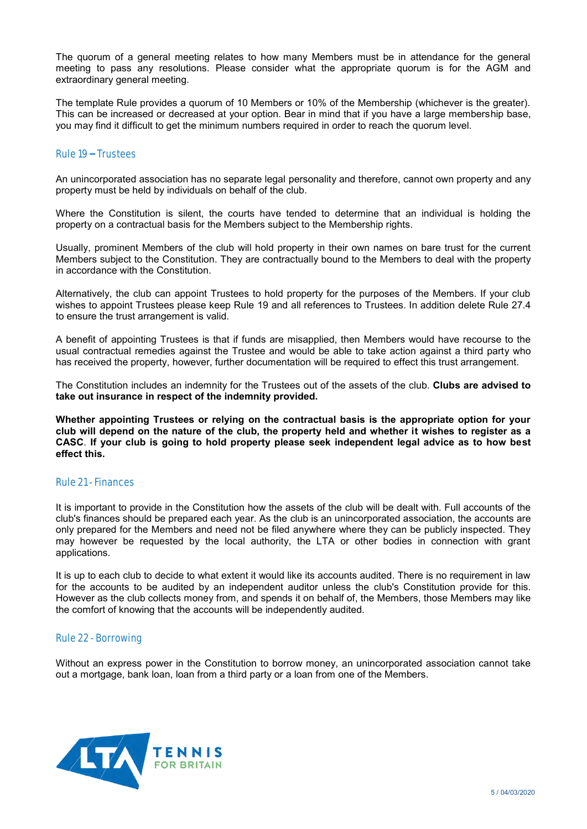The quorum of a general meeting relates to how many Members must be in attendance for the general meeting to pass any resolutions. Please consider what the appropriate quorum is for the AGM and extraordinary general meeting.

The template Rule provides a quorum of 10 Members or 10% of the Membership (whichever is the greater). This can be increased or decreased at your option. Bear in mind that if you have a large membership base, you may find it difficult to get the minimum numbers required in order to reach the quorum level.

#### Rule 19 – Trustees

An unincorporated association has no separate legal personality and therefore, cannot own property and any property must be held by individuals on behalf of the club.

Where the Constitution is silent, the courts have tended to determine that an individual is holding the property on a contractual basis for the Members subject to the Membership rights.

Usually, prominent Members of the club will hold property in their own names on bare trust for the current Members subject to the Constitution. They are contractually bound to the Members to deal with the property in accordance with the Constitution.

Alternatively, the club can appoint Trustees to hold property for the purposes of the Members. If your club wishes to appoint Trustees please keep Rule 19 and all references to Trustees. In addition delete Rule 27.4 to ensure the trust arrangement is valid.

A benefit of appointing Trustees is that if funds are misapplied, then Members would have recourse to the usual contractual remedies against the Trustee and would be able to take action against a third party who has received the property, however, further documentation will be required to effect this trust arrangement.

The Constitution includes an indemnity for the Trustees out of the assets of the club. **Clubs are advised to take out insurance in respect of the indemnity provided.** 

**Whether appointing Trustees or relying on the contractual basis is the appropriate option for your club will depend on the nature of the club, the property held and whether it wishes to register as a CASC**. **If your club is going to hold property please seek independent legal advice as to how best effect this.**

# Rule 21 - Finances

It is important to provide in the Constitution how the assets of the club will be dealt with. Full accounts of the club's finances should be prepared each year. As the club is an unincorporated association, the accounts are only prepared for the Members and need not be filed anywhere where they can be publicly inspected. They may however be requested by the local authority, the LTA or other bodies in connection with grant applications.

It is up to each club to decide to what extent it would like its accounts audited. There is no requirement in law for the accounts to be audited by an independent auditor unless the club's Constitution provide for this. However as the club collects money from, and spends it on behalf of, the Members, those Members may like the comfort of knowing that the accounts will be independently audited.

# Rule 22 - Borrowing

Without an express power in the Constitution to borrow money, an unincorporated association cannot take out a mortgage, bank loan, loan from a third party or a loan from one of the Members.

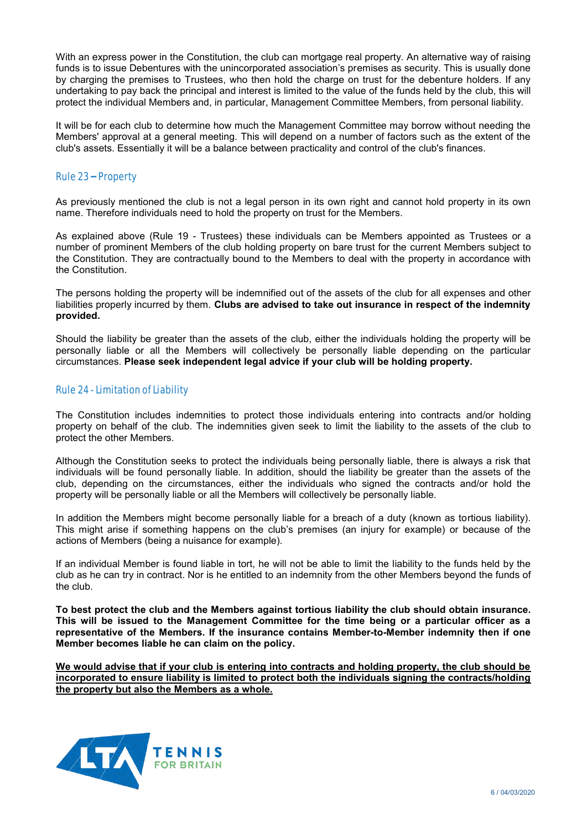With an express power in the Constitution, the club can mortgage real property. An alternative way of raising funds is to issue Debentures with the unincorporated association's premises as security. This is usually done by charging the premises to Trustees, who then hold the charge on trust for the debenture holders. If any undertaking to pay back the principal and interest is limited to the value of the funds held by the club, this will protect the individual Members and, in particular, Management Committee Members, from personal liability.

It will be for each club to determine how much the Management Committee may borrow without needing the Members' approval at a general meeting. This will depend on a number of factors such as the extent of the club's assets. Essentially it will be a balance between practicality and control of the club's finances.

# Rule 23 – Property

As previously mentioned the club is not a legal person in its own right and cannot hold property in its own name. Therefore individuals need to hold the property on trust for the Members.

As explained above (Rule 19 - Trustees) these individuals can be Members appointed as Trustees or a number of prominent Members of the club holding property on bare trust for the current Members subject to the Constitution. They are contractually bound to the Members to deal with the property in accordance with the Constitution.

The persons holding the property will be indemnified out of the assets of the club for all expenses and other liabilities properly incurred by them. **Clubs are advised to take out insurance in respect of the indemnity provided.** 

Should the liability be greater than the assets of the club, either the individuals holding the property will be personally liable or all the Members will collectively be personally liable depending on the particular circumstances. **Please seek independent legal advice if your club will be holding property.**

# Rule 24 - Limitation of Liability

The Constitution includes indemnities to protect those individuals entering into contracts and/or holding property on behalf of the club. The indemnities given seek to limit the liability to the assets of the club to protect the other Members.

Although the Constitution seeks to protect the individuals being personally liable, there is always a risk that individuals will be found personally liable. In addition, should the liability be greater than the assets of the club, depending on the circumstances, either the individuals who signed the contracts and/or hold the property will be personally liable or all the Members will collectively be personally liable.

In addition the Members might become personally liable for a breach of a duty (known as tortious liability). This might arise if something happens on the club's premises (an injury for example) or because of the actions of Members (being a nuisance for example).

If an individual Member is found liable in tort, he will not be able to limit the liability to the funds held by the club as he can try in contract. Nor is he entitled to an indemnity from the other Members beyond the funds of the club.

**To best protect the club and the Members against tortious liability the club should obtain insurance. This will be issued to the Management Committee for the time being or a particular officer as a representative of the Members. If the insurance contains Member-to-Member indemnity then if one Member becomes liable he can claim on the policy.** 

**We would advise that if your club is entering into contracts and holding property, the club should be incorporated to ensure liability is limited to protect both the individuals signing the contracts/holding the property but also the Members as a whole.**